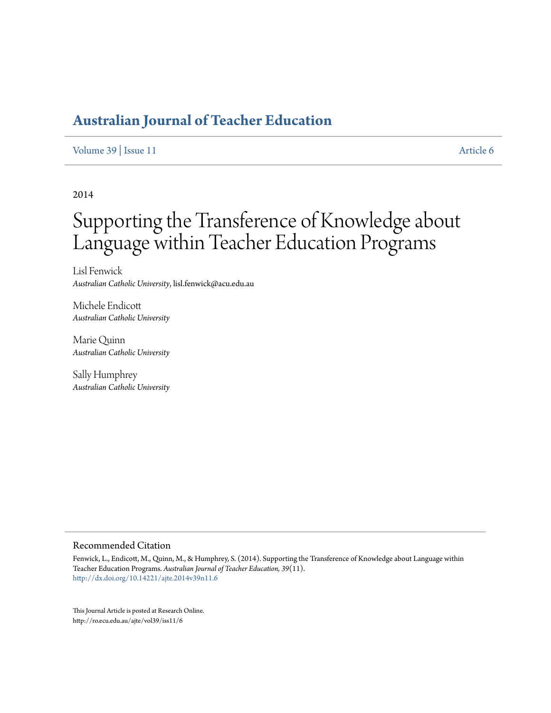## **[Australian Journal of Teacher Education](http://ro.ecu.edu.au/ajte)**

[Volume 39](http://ro.ecu.edu.au/ajte/vol39) | [Issue 11](http://ro.ecu.edu.au/ajte/vol39/iss11) [Article 6](http://ro.ecu.edu.au/ajte/vol39/iss11/6)

2014

# Supporting the Transference of Knowledge about Language within Teacher Education Programs

Lisl Fenwick *Australian Catholic University*, lisl.fenwick@acu.edu.au

Michele Endicott *Australian Catholic University*

Marie Quinn *Australian Catholic University*

Sally Humphrey *Australian Catholic University*

#### Recommended Citation

Fenwick, L., Endicott, M., Quinn, M., & Humphrey, S. (2014). Supporting the Transference of Knowledge about Language within Teacher Education Programs. *Australian Journal of Teacher Education, 39*(11). <http://dx.doi.org/10.14221/ajte.2014v39n11.6>

This Journal Article is posted at Research Online. http://ro.ecu.edu.au/ajte/vol39/iss11/6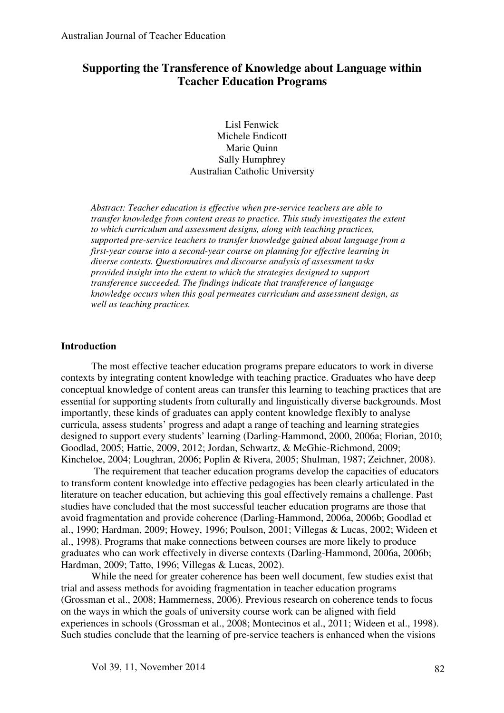## **Supporting the Transference of Knowledge about Language within Teacher Education Programs**

Lisl Fenwick Michele Endicott Marie Quinn Sally Humphrey Australian Catholic University

*Abstract: Teacher education is effective when pre-service teachers are able to transfer knowledge from content areas to practice. This study investigates the extent to which curriculum and assessment designs, along with teaching practices, supported pre-service teachers to transfer knowledge gained about language from a first-year course into a second-year course on planning for effective learning in diverse contexts. Questionnaires and discourse analysis of assessment tasks provided insight into the extent to which the strategies designed to support transference succeeded. The findings indicate that transference of language knowledge occurs when this goal permeates curriculum and assessment design, as well as teaching practices.*

#### **Introduction**

The most effective teacher education programs prepare educators to work in diverse contexts by integrating content knowledge with teaching practice. Graduates who have deep conceptual knowledge of content areas can transfer this learning to teaching practices that are essential for supporting students from culturally and linguistically diverse backgrounds. Most importantly, these kinds of graduates can apply content knowledge flexibly to analyse curricula, assess students' progress and adapt a range of teaching and learning strategies designed to support every students' learning (Darling-Hammond, 2000, 2006a; Florian, 2010; Goodlad, 2005; Hattie, 2009, 2012; Jordan, Schwartz, & McGhie-Richmond, 2009; Kincheloe, 2004; Loughran, 2006; Poplin & Rivera, 2005; Shulman, 1987; Zeichner, 2008).

 The requirement that teacher education programs develop the capacities of educators to transform content knowledge into effective pedagogies has been clearly articulated in the literature on teacher education, but achieving this goal effectively remains a challenge. Past studies have concluded that the most successful teacher education programs are those that avoid fragmentation and provide coherence (Darling-Hammond, 2006a, 2006b; Goodlad et al., 1990; Hardman, 2009; Howey, 1996; Poulson, 2001; Villegas & Lucas, 2002; Wideen et al., 1998). Programs that make connections between courses are more likely to produce graduates who can work effectively in diverse contexts (Darling-Hammond, 2006a, 2006b; Hardman, 2009; Tatto, 1996; Villegas & Lucas, 2002).

While the need for greater coherence has been well document, few studies exist that trial and assess methods for avoiding fragmentation in teacher education programs (Grossman et al., 2008; Hammerness, 2006). Previous research on coherence tends to focus on the ways in which the goals of university course work can be aligned with field experiences in schools (Grossman et al., 2008; Montecinos et al., 2011; Wideen et al., 1998). Such studies conclude that the learning of pre-service teachers is enhanced when the visions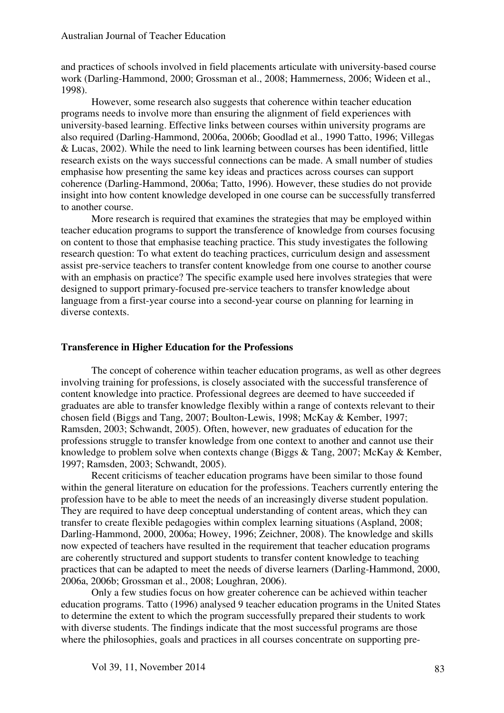and practices of schools involved in field placements articulate with university-based course work (Darling-Hammond, 2000; Grossman et al., 2008; Hammerness, 2006; Wideen et al., 1998).

However, some research also suggests that coherence within teacher education programs needs to involve more than ensuring the alignment of field experiences with university-based learning. Effective links between courses within university programs are also required (Darling-Hammond, 2006a, 2006b; Goodlad et al., 1990 Tatto, 1996; Villegas & Lucas, 2002). While the need to link learning between courses has been identified, little research exists on the ways successful connections can be made. A small number of studies emphasise how presenting the same key ideas and practices across courses can support coherence (Darling-Hammond, 2006a; Tatto, 1996). However, these studies do not provide insight into how content knowledge developed in one course can be successfully transferred to another course.

More research is required that examines the strategies that may be employed within teacher education programs to support the transference of knowledge from courses focusing on content to those that emphasise teaching practice. This study investigates the following research question: To what extent do teaching practices, curriculum design and assessment assist pre-service teachers to transfer content knowledge from one course to another course with an emphasis on practice? The specific example used here involves strategies that were designed to support primary-focused pre-service teachers to transfer knowledge about language from a first-year course into a second-year course on planning for learning in diverse contexts.

#### **Transference in Higher Education for the Professions**

The concept of coherence within teacher education programs, as well as other degrees involving training for professions, is closely associated with the successful transference of content knowledge into practice. Professional degrees are deemed to have succeeded if graduates are able to transfer knowledge flexibly within a range of contexts relevant to their chosen field (Biggs and Tang, 2007; Boulton-Lewis, 1998; McKay & Kember, 1997; Ramsden, 2003; Schwandt, 2005). Often, however, new graduates of education for the professions struggle to transfer knowledge from one context to another and cannot use their knowledge to problem solve when contexts change (Biggs & Tang, 2007; McKay & Kember, 1997; Ramsden, 2003; Schwandt, 2005).

Recent criticisms of teacher education programs have been similar to those found within the general literature on education for the professions. Teachers currently entering the profession have to be able to meet the needs of an increasingly diverse student population. They are required to have deep conceptual understanding of content areas, which they can transfer to create flexible pedagogies within complex learning situations (Aspland, 2008; Darling-Hammond, 2000, 2006a; Howey, 1996; Zeichner, 2008). The knowledge and skills now expected of teachers have resulted in the requirement that teacher education programs are coherently structured and support students to transfer content knowledge to teaching practices that can be adapted to meet the needs of diverse learners (Darling-Hammond, 2000, 2006a, 2006b; Grossman et al., 2008; Loughran, 2006).

Only a few studies focus on how greater coherence can be achieved within teacher education programs. Tatto (1996) analysed 9 teacher education programs in the United States to determine the extent to which the program successfully prepared their students to work with diverse students. The findings indicate that the most successful programs are those where the philosophies, goals and practices in all courses concentrate on supporting pre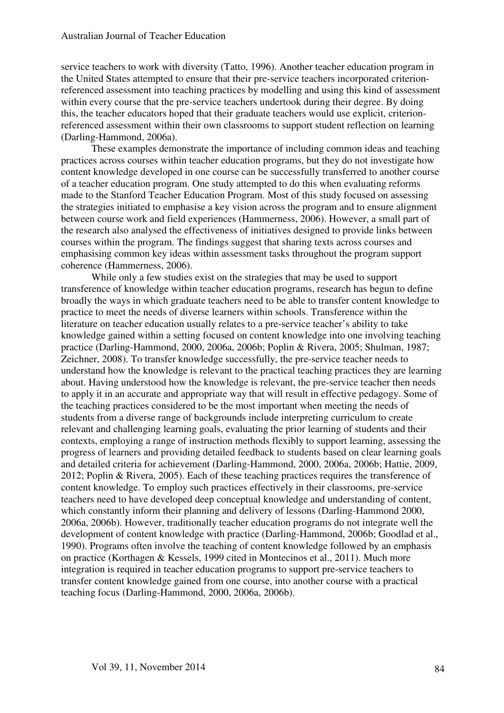service teachers to work with diversity (Tatto, 1996). Another teacher education program in the United States attempted to ensure that their pre-service teachers incorporated criterionreferenced assessment into teaching practices by modelling and using this kind of assessment within every course that the pre-service teachers undertook during their degree. By doing this, the teacher educators hoped that their graduate teachers would use explicit, criterionreferenced assessment within their own classrooms to support student reflection on learning (Darling-Hammond, 2006a).

These examples demonstrate the importance of including common ideas and teaching practices across courses within teacher education programs, but they do not investigate how content knowledge developed in one course can be successfully transferred to another course of a teacher education program. One study attempted to do this when evaluating reforms made to the Stanford Teacher Education Program. Most of this study focused on assessing the strategies initiated to emphasise a key vision across the program and to ensure alignment between course work and field experiences (Hammerness, 2006). However, a small part of the research also analysed the effectiveness of initiatives designed to provide links between courses within the program. The findings suggest that sharing texts across courses and emphasising common key ideas within assessment tasks throughout the program support coherence (Hammerness, 2006).

While only a few studies exist on the strategies that may be used to support transference of knowledge within teacher education programs, research has begun to define broadly the ways in which graduate teachers need to be able to transfer content knowledge to practice to meet the needs of diverse learners within schools. Transference within the literature on teacher education usually relates to a pre-service teacher's ability to take knowledge gained within a setting focused on content knowledge into one involving teaching practice (Darling-Hammond, 2000, 2006a, 2006b; Poplin & Rivera, 2005; Shulman, 1987; Zeichner, 2008). To transfer knowledge successfully, the pre-service teacher needs to understand how the knowledge is relevant to the practical teaching practices they are learning about. Having understood how the knowledge is relevant, the pre-service teacher then needs to apply it in an accurate and appropriate way that will result in effective pedagogy. Some of the teaching practices considered to be the most important when meeting the needs of students from a diverse range of backgrounds include interpreting curriculum to create relevant and challenging learning goals, evaluating the prior learning of students and their contexts, employing a range of instruction methods flexibly to support learning, assessing the progress of learners and providing detailed feedback to students based on clear learning goals and detailed criteria for achievement (Darling-Hammond, 2000, 2006a, 2006b; Hattie, 2009, 2012; Poplin & Rivera, 2005). Each of these teaching practices requires the transference of content knowledge. To employ such practices effectively in their classrooms, pre-service teachers need to have developed deep conceptual knowledge and understanding of content, which constantly inform their planning and delivery of lessons (Darling-Hammond 2000, 2006a, 2006b). However, traditionally teacher education programs do not integrate well the development of content knowledge with practice (Darling-Hammond, 2006b; Goodlad et al., 1990). Programs often involve the teaching of content knowledge followed by an emphasis on practice (Korthagen & Kessels, 1999 cited in Montecinos et al., 2011). Much more integration is required in teacher education programs to support pre-service teachers to transfer content knowledge gained from one course, into another course with a practical teaching focus (Darling-Hammond, 2000, 2006a, 2006b).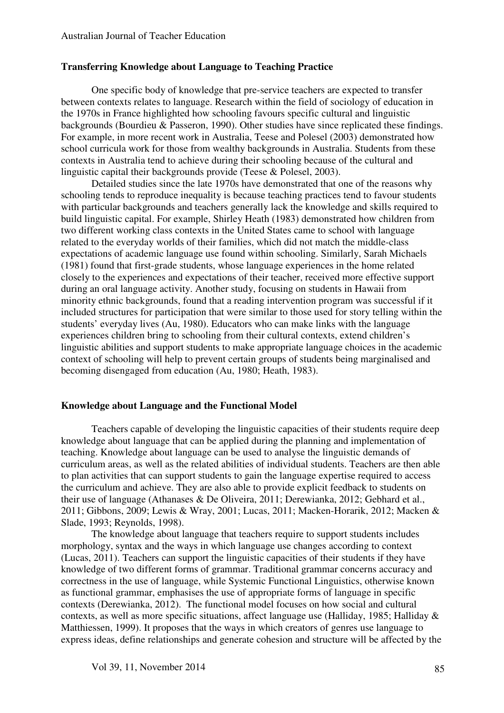#### **Transferring Knowledge about Language to Teaching Practice**

One specific body of knowledge that pre-service teachers are expected to transfer between contexts relates to language. Research within the field of sociology of education in the 1970s in France highlighted how schooling favours specific cultural and linguistic backgrounds (Bourdieu & Passeron, 1990). Other studies have since replicated these findings. For example, in more recent work in Australia, Teese and Polesel (2003) demonstrated how school curricula work for those from wealthy backgrounds in Australia. Students from these contexts in Australia tend to achieve during their schooling because of the cultural and linguistic capital their backgrounds provide (Teese & Polesel, 2003).

Detailed studies since the late 1970s have demonstrated that one of the reasons why schooling tends to reproduce inequality is because teaching practices tend to favour students with particular backgrounds and teachers generally lack the knowledge and skills required to build linguistic capital. For example, Shirley Heath (1983) demonstrated how children from two different working class contexts in the United States came to school with language related to the everyday worlds of their families, which did not match the middle-class expectations of academic language use found within schooling. Similarly, Sarah Michaels (1981) found that first-grade students, whose language experiences in the home related closely to the experiences and expectations of their teacher, received more effective support during an oral language activity. Another study, focusing on students in Hawaii from minority ethnic backgrounds, found that a reading intervention program was successful if it included structures for participation that were similar to those used for story telling within the students' everyday lives (Au, 1980). Educators who can make links with the language experiences children bring to schooling from their cultural contexts, extend children's linguistic abilities and support students to make appropriate language choices in the academic context of schooling will help to prevent certain groups of students being marginalised and becoming disengaged from education (Au, 1980; Heath, 1983).

#### **Knowledge about Language and the Functional Model**

Teachers capable of developing the linguistic capacities of their students require deep knowledge about language that can be applied during the planning and implementation of teaching. Knowledge about language can be used to analyse the linguistic demands of curriculum areas, as well as the related abilities of individual students. Teachers are then able to plan activities that can support students to gain the language expertise required to access the curriculum and achieve. They are also able to provide explicit feedback to students on their use of language (Athanases & De Oliveira, 2011; Derewianka, 2012; Gebhard et al., 2011; Gibbons, 2009; Lewis & Wray, 2001; Lucas, 2011; Macken-Horarik, 2012; Macken & Slade, 1993; Reynolds, 1998).

The knowledge about language that teachers require to support students includes morphology, syntax and the ways in which language use changes according to context (Lucas, 2011). Teachers can support the linguistic capacities of their students if they have knowledge of two different forms of grammar. Traditional grammar concerns accuracy and correctness in the use of language, while Systemic Functional Linguistics, otherwise known as functional grammar, emphasises the use of appropriate forms of language in specific contexts (Derewianka, 2012). The functional model focuses on how social and cultural contexts, as well as more specific situations, affect language use (Halliday, 1985; Halliday & Matthiessen, 1999). It proposes that the ways in which creators of genres use language to express ideas, define relationships and generate cohesion and structure will be affected by the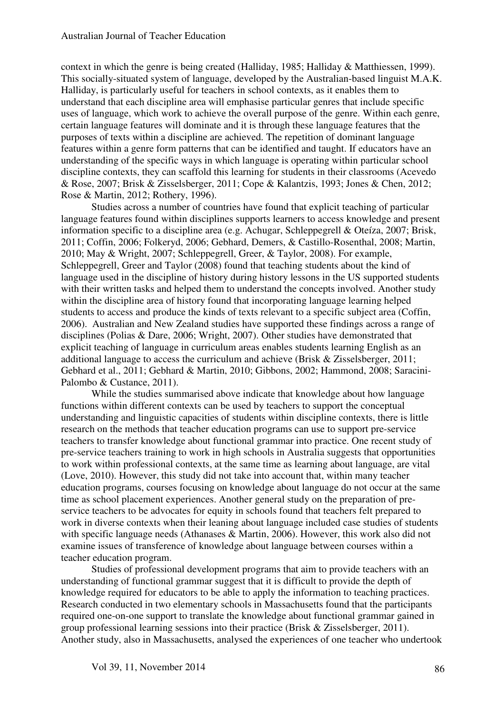context in which the genre is being created (Halliday, 1985; Halliday & Matthiessen, 1999). This socially-situated system of language, developed by the Australian-based linguist M.A.K. Halliday, is particularly useful for teachers in school contexts, as it enables them to understand that each discipline area will emphasise particular genres that include specific uses of language, which work to achieve the overall purpose of the genre. Within each genre, certain language features will dominate and it is through these language features that the purposes of texts within a discipline are achieved. The repetition of dominant language features within a genre form patterns that can be identified and taught. If educators have an understanding of the specific ways in which language is operating within particular school discipline contexts, they can scaffold this learning for students in their classrooms (Acevedo & Rose, 2007; Brisk & Zisselsberger, 2011; Cope & Kalantzis, 1993; Jones & Chen, 2012; Rose & Martin, 2012; Rothery, 1996).

 Studies across a number of countries have found that explicit teaching of particular language features found within disciplines supports learners to access knowledge and present information specific to a discipline area (e.g. Achugar, Schleppegrell & Oteíza, 2007; Brisk, 2011; Coffin, 2006; Folkeryd, 2006; Gebhard, Demers, & Castillo-Rosenthal, 2008; Martin, 2010; May & Wright, 2007; Schleppegrell, Greer, & Taylor, 2008). For example, Schleppegrell, Greer and Taylor (2008) found that teaching students about the kind of language used in the discipline of history during history lessons in the US supported students with their written tasks and helped them to understand the concepts involved. Another study within the discipline area of history found that incorporating language learning helped students to access and produce the kinds of texts relevant to a specific subject area (Coffin, 2006). Australian and New Zealand studies have supported these findings across a range of disciplines (Polias & Dare, 2006; Wright, 2007). Other studies have demonstrated that explicit teaching of language in curriculum areas enables students learning English as an additional language to access the curriculum and achieve (Brisk & Zisselsberger, 2011; Gebhard et al., 2011; Gebhard & Martin, 2010; Gibbons, 2002; Hammond, 2008; Saracini-Palombo & Custance, 2011).

While the studies summarised above indicate that knowledge about how language functions within different contexts can be used by teachers to support the conceptual understanding and linguistic capacities of students within discipline contexts, there is little research on the methods that teacher education programs can use to support pre-service teachers to transfer knowledge about functional grammar into practice. One recent study of pre-service teachers training to work in high schools in Australia suggests that opportunities to work within professional contexts, at the same time as learning about language, are vital (Love, 2010). However, this study did not take into account that, within many teacher education programs, courses focusing on knowledge about language do not occur at the same time as school placement experiences. Another general study on the preparation of preservice teachers to be advocates for equity in schools found that teachers felt prepared to work in diverse contexts when their leaning about language included case studies of students with specific language needs (Athanases & Martin, 2006). However, this work also did not examine issues of transference of knowledge about language between courses within a teacher education program.

 Studies of professional development programs that aim to provide teachers with an understanding of functional grammar suggest that it is difficult to provide the depth of knowledge required for educators to be able to apply the information to teaching practices. Research conducted in two elementary schools in Massachusetts found that the participants required one-on-one support to translate the knowledge about functional grammar gained in group professional learning sessions into their practice (Brisk & Zisselsberger, 2011). Another study, also in Massachusetts, analysed the experiences of one teacher who undertook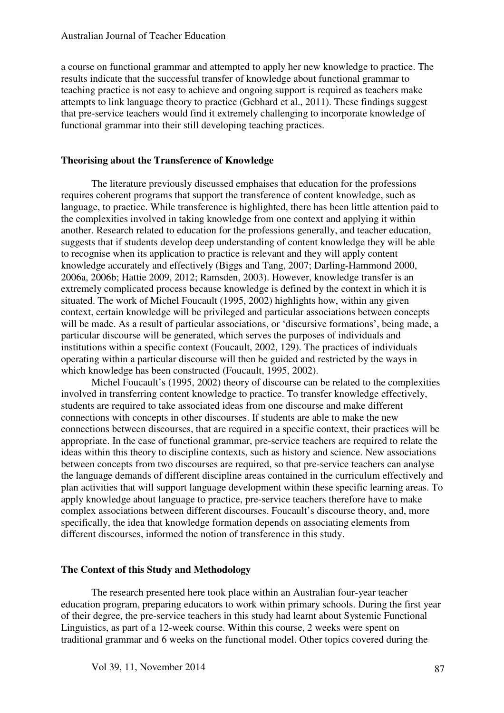a course on functional grammar and attempted to apply her new knowledge to practice. The results indicate that the successful transfer of knowledge about functional grammar to teaching practice is not easy to achieve and ongoing support is required as teachers make attempts to link language theory to practice (Gebhard et al., 2011). These findings suggest that pre-service teachers would find it extremely challenging to incorporate knowledge of functional grammar into their still developing teaching practices.

#### **Theorising about the Transference of Knowledge**

The literature previously discussed emphaises that education for the professions requires coherent programs that support the transference of content knowledge, such as language, to practice. While transference is highlighted, there has been little attention paid to the complexities involved in taking knowledge from one context and applying it within another. Research related to education for the professions generally, and teacher education, suggests that if students develop deep understanding of content knowledge they will be able to recognise when its application to practice is relevant and they will apply content knowledge accurately and effectively (Biggs and Tang, 2007; Darling-Hammond 2000, 2006a, 2006b; Hattie 2009, 2012; Ramsden, 2003). However, knowledge transfer is an extremely complicated process because knowledge is defined by the context in which it is situated. The work of Michel Foucault (1995, 2002) highlights how, within any given context, certain knowledge will be privileged and particular associations between concepts will be made. As a result of particular associations, or 'discursive formations', being made, a particular discourse will be generated, which serves the purposes of individuals and institutions within a specific context (Foucault, 2002, 129). The practices of individuals operating within a particular discourse will then be guided and restricted by the ways in which knowledge has been constructed (Foucault, 1995, 2002).

Michel Foucault's (1995, 2002) theory of discourse can be related to the complexities involved in transferring content knowledge to practice. To transfer knowledge effectively, students are required to take associated ideas from one discourse and make different connections with concepts in other discourses. If students are able to make the new connections between discourses, that are required in a specific context, their practices will be appropriate. In the case of functional grammar, pre-service teachers are required to relate the ideas within this theory to discipline contexts, such as history and science. New associations between concepts from two discourses are required, so that pre-service teachers can analyse the language demands of different discipline areas contained in the curriculum effectively and plan activities that will support language development within these specific learning areas. To apply knowledge about language to practice, pre-service teachers therefore have to make complex associations between different discourses. Foucault's discourse theory, and, more specifically, the idea that knowledge formation depends on associating elements from different discourses, informed the notion of transference in this study.

#### **The Context of this Study and Methodology**

The research presented here took place within an Australian four-year teacher education program, preparing educators to work within primary schools. During the first year of their degree, the pre-service teachers in this study had learnt about Systemic Functional Linguistics, as part of a 12-week course. Within this course, 2 weeks were spent on traditional grammar and 6 weeks on the functional model. Other topics covered during the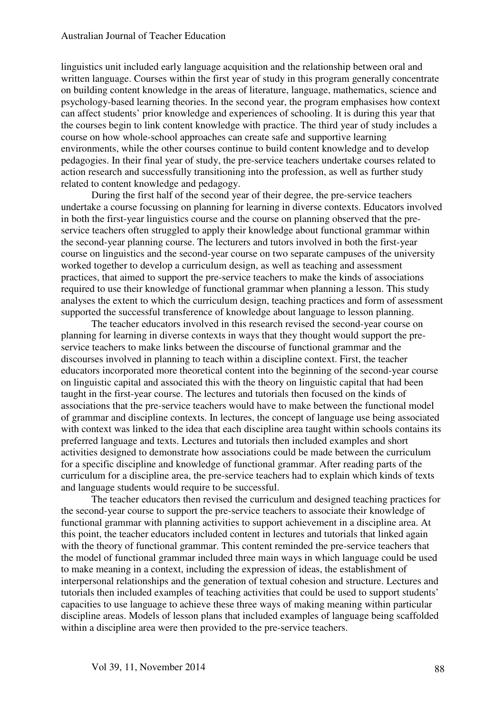linguistics unit included early language acquisition and the relationship between oral and written language. Courses within the first year of study in this program generally concentrate on building content knowledge in the areas of literature, language, mathematics, science and psychology-based learning theories. In the second year, the program emphasises how context can affect students' prior knowledge and experiences of schooling. It is during this year that the courses begin to link content knowledge with practice. The third year of study includes a course on how whole-school approaches can create safe and supportive learning environments, while the other courses continue to build content knowledge and to develop pedagogies. In their final year of study, the pre-service teachers undertake courses related to action research and successfully transitioning into the profession, as well as further study related to content knowledge and pedagogy.

During the first half of the second year of their degree, the pre-service teachers undertake a course focussing on planning for learning in diverse contexts. Educators involved in both the first-year linguistics course and the course on planning observed that the preservice teachers often struggled to apply their knowledge about functional grammar within the second-year planning course. The lecturers and tutors involved in both the first-year course on linguistics and the second-year course on two separate campuses of the university worked together to develop a curriculum design, as well as teaching and assessment practices, that aimed to support the pre-service teachers to make the kinds of associations required to use their knowledge of functional grammar when planning a lesson. This study analyses the extent to which the curriculum design, teaching practices and form of assessment supported the successful transference of knowledge about language to lesson planning.

The teacher educators involved in this research revised the second-year course on planning for learning in diverse contexts in ways that they thought would support the preservice teachers to make links between the discourse of functional grammar and the discourses involved in planning to teach within a discipline context. First, the teacher educators incorporated more theoretical content into the beginning of the second-year course on linguistic capital and associated this with the theory on linguistic capital that had been taught in the first-year course. The lectures and tutorials then focused on the kinds of associations that the pre-service teachers would have to make between the functional model of grammar and discipline contexts. In lectures, the concept of language use being associated with context was linked to the idea that each discipline area taught within schools contains its preferred language and texts. Lectures and tutorials then included examples and short activities designed to demonstrate how associations could be made between the curriculum for a specific discipline and knowledge of functional grammar. After reading parts of the curriculum for a discipline area, the pre-service teachers had to explain which kinds of texts and language students would require to be successful.

The teacher educators then revised the curriculum and designed teaching practices for the second-year course to support the pre-service teachers to associate their knowledge of functional grammar with planning activities to support achievement in a discipline area. At this point, the teacher educators included content in lectures and tutorials that linked again with the theory of functional grammar. This content reminded the pre-service teachers that the model of functional grammar included three main ways in which language could be used to make meaning in a context, including the expression of ideas, the establishment of interpersonal relationships and the generation of textual cohesion and structure. Lectures and tutorials then included examples of teaching activities that could be used to support students' capacities to use language to achieve these three ways of making meaning within particular discipline areas. Models of lesson plans that included examples of language being scaffolded within a discipline area were then provided to the pre-service teachers.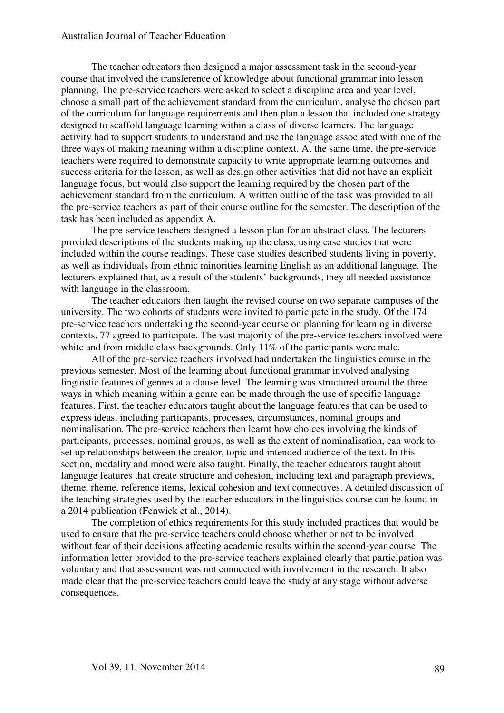#### Australian Journal of Teacher Education

The teacher educators then designed a major assessment task in the second-year course that involved the transference of knowledge about functional grammar into lesson planning. The pre-service teachers were asked to select a discipline area and year level, choose a small part of the achievement standard from the curriculum, analyse the chosen part of the curriculum for language requirements and then plan a lesson that included one strategy designed to scaffold language learning within a class of diverse learners. The language activity had to support students to understand and use the language associated with one of the three ways of making meaning within a discipline context. At the same time, the pre-service teachers were required to demonstrate capacity to write appropriate learning outcomes and success criteria for the lesson, as well as design other activities that did not have an explicit language focus, but would also support the learning required by the chosen part of the achievement standard from the curriculum. A written outline of the task was provided to all the pre-service teachers as part of their course outline for the semester. The description of the task has been included as appendix A.

The pre-service teachers designed a lesson plan for an abstract class. The lecturers provided descriptions of the students making up the class, using case studies that were included within the course readings. These case studies described students living in poverty, as well as individuals from ethnic minorities learning English as an additional language. The lecturers explained that, as a result of the students' backgrounds, they all needed assistance with language in the classroom.

The teacher educators then taught the revised course on two separate campuses of the university. The two cohorts of students were invited to participate in the study. Of the 174 pre-service teachers undertaking the second-year course on planning for learning in diverse contexts, 77 agreed to participate. The vast majority of the pre-service teachers involved were white and from middle class backgrounds. Only 11% of the participants were male.

All of the pre-service teachers involved had undertaken the linguistics course in the previous semester. Most of the learning about functional grammar involved analysing linguistic features of genres at a clause level. The learning was structured around the three ways in which meaning within a genre can be made through the use of specific language features. First, the teacher educators taught about the language features that can be used to express ideas, including participants, processes, circumstances, nominal groups and nominalisation. The pre-service teachers then learnt how choices involving the kinds of participants, processes, nominal groups, as well as the extent of nominalisation, can work to set up relationships between the creator, topic and intended audience of the text. In this section, modality and mood were also taught. Finally, the teacher educators taught about language features that create structure and cohesion, including text and paragraph previews, theme, rheme, reference items, lexical cohesion and text connectives. A detailed discussion of the teaching strategies used by the teacher educators in the linguistics course can be found in a 2014 publication (Fenwick et al., 2014).

The completion of ethics requirements for this study included practices that would be used to ensure that the pre-service teachers could choose whether or not to be involved without fear of their decisions affecting academic results within the second-year course. The information letter provided to the pre-service teachers explained clearly that participation was voluntary and that assessment was not connected with involvement in the research. It also made clear that the pre-service teachers could leave the study at any stage without adverse consequences.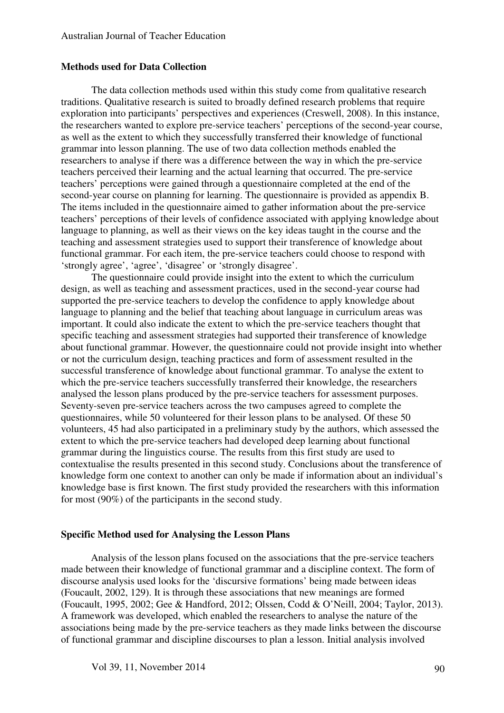#### **Methods used for Data Collection**

The data collection methods used within this study come from qualitative research traditions. Qualitative research is suited to broadly defined research problems that require exploration into participants' perspectives and experiences (Creswell, 2008). In this instance, the researchers wanted to explore pre-service teachers' perceptions of the second-year course, as well as the extent to which they successfully transferred their knowledge of functional grammar into lesson planning. The use of two data collection methods enabled the researchers to analyse if there was a difference between the way in which the pre-service teachers perceived their learning and the actual learning that occurred. The pre-service teachers' perceptions were gained through a questionnaire completed at the end of the second-year course on planning for learning. The questionnaire is provided as appendix B. The items included in the questionnaire aimed to gather information about the pre-service teachers' perceptions of their levels of confidence associated with applying knowledge about language to planning, as well as their views on the key ideas taught in the course and the teaching and assessment strategies used to support their transference of knowledge about functional grammar. For each item, the pre-service teachers could choose to respond with 'strongly agree', 'agree', 'disagree' or 'strongly disagree'.

The questionnaire could provide insight into the extent to which the curriculum design, as well as teaching and assessment practices, used in the second-year course had supported the pre-service teachers to develop the confidence to apply knowledge about language to planning and the belief that teaching about language in curriculum areas was important. It could also indicate the extent to which the pre-service teachers thought that specific teaching and assessment strategies had supported their transference of knowledge about functional grammar. However, the questionnaire could not provide insight into whether or not the curriculum design, teaching practices and form of assessment resulted in the successful transference of knowledge about functional grammar. To analyse the extent to which the pre-service teachers successfully transferred their knowledge, the researchers analysed the lesson plans produced by the pre-service teachers for assessment purposes. Seventy-seven pre-service teachers across the two campuses agreed to complete the questionnaires, while 50 volunteered for their lesson plans to be analysed. Of these 50 volunteers, 45 had also participated in a preliminary study by the authors, which assessed the extent to which the pre-service teachers had developed deep learning about functional grammar during the linguistics course. The results from this first study are used to contextualise the results presented in this second study. Conclusions about the transference of knowledge form one context to another can only be made if information about an individual's knowledge base is first known. The first study provided the researchers with this information for most (90%) of the participants in the second study.

#### **Specific Method used for Analysing the Lesson Plans**

Analysis of the lesson plans focused on the associations that the pre-service teachers made between their knowledge of functional grammar and a discipline context. The form of discourse analysis used looks for the 'discursive formations' being made between ideas (Foucault, 2002, 129). It is through these associations that new meanings are formed (Foucault, 1995, 2002; Gee & Handford, 2012; Olssen, Codd & O'Neill, 2004; Taylor, 2013). A framework was developed, which enabled the researchers to analyse the nature of the associations being made by the pre-service teachers as they made links between the discourse of functional grammar and discipline discourses to plan a lesson. Initial analysis involved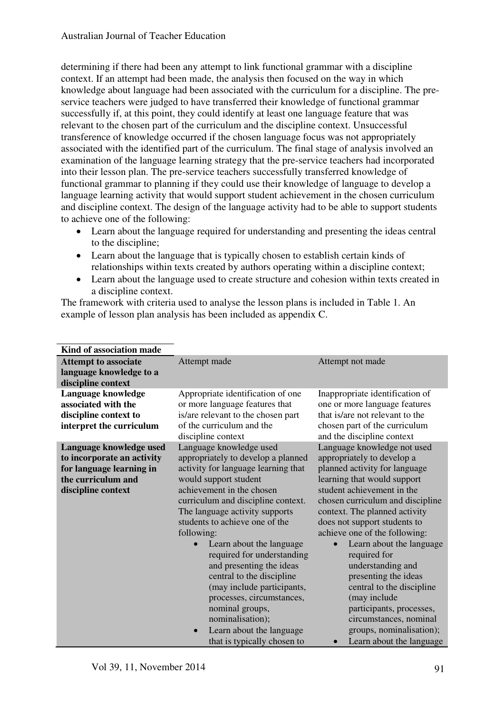determining if there had been any attempt to link functional grammar with a discipline context. If an attempt had been made, the analysis then focused on the way in which knowledge about language had been associated with the curriculum for a discipline. The preservice teachers were judged to have transferred their knowledge of functional grammar successfully if, at this point, they could identify at least one language feature that was relevant to the chosen part of the curriculum and the discipline context. Unsuccessful transference of knowledge occurred if the chosen language focus was not appropriately associated with the identified part of the curriculum. The final stage of analysis involved an examination of the language learning strategy that the pre-service teachers had incorporated into their lesson plan. The pre-service teachers successfully transferred knowledge of functional grammar to planning if they could use their knowledge of language to develop a language learning activity that would support student achievement in the chosen curriculum and discipline context. The design of the language activity had to be able to support students to achieve one of the following:

- Learn about the language required for understanding and presenting the ideas central to the discipline;
- Learn about the language that is typically chosen to establish certain kinds of relationships within texts created by authors operating within a discipline context;
- Learn about the language used to create structure and cohesion within texts created in a discipline context.

The framework with criteria used to analyse the lesson plans is included in Table 1. An example of lesson plan analysis has been included as appendix C.

| Kind of association made                                                                                                      |                                                                                                                                                                                                                                                                                                                                                                                                                                                                                                                                                                                              |                                                                                                                                                                                                                                                                                                                                                                                                                                                                                                                                                                             |
|-------------------------------------------------------------------------------------------------------------------------------|----------------------------------------------------------------------------------------------------------------------------------------------------------------------------------------------------------------------------------------------------------------------------------------------------------------------------------------------------------------------------------------------------------------------------------------------------------------------------------------------------------------------------------------------------------------------------------------------|-----------------------------------------------------------------------------------------------------------------------------------------------------------------------------------------------------------------------------------------------------------------------------------------------------------------------------------------------------------------------------------------------------------------------------------------------------------------------------------------------------------------------------------------------------------------------------|
| <b>Attempt to associate</b><br>language knowledge to a<br>discipline context                                                  | Attempt made                                                                                                                                                                                                                                                                                                                                                                                                                                                                                                                                                                                 | Attempt not made                                                                                                                                                                                                                                                                                                                                                                                                                                                                                                                                                            |
| Language knowledge<br>associated with the<br>discipline context to<br>interpret the curriculum                                | Appropriate identification of one<br>or more language features that<br>is/are relevant to the chosen part<br>of the curriculum and the<br>discipline context                                                                                                                                                                                                                                                                                                                                                                                                                                 | Inappropriate identification of<br>one or more language features<br>that is/are not relevant to the<br>chosen part of the curriculum<br>and the discipline context                                                                                                                                                                                                                                                                                                                                                                                                          |
| Language knowledge used<br>to incorporate an activity<br>for language learning in<br>the curriculum and<br>discipline context | Language knowledge used<br>appropriately to develop a planned<br>activity for language learning that<br>would support student<br>achievement in the chosen<br>curriculum and discipline context.<br>The language activity supports<br>students to achieve one of the<br>following:<br>Learn about the language<br>$\bullet$<br>required for understanding<br>and presenting the ideas<br>central to the discipline<br>(may include participants,<br>processes, circumstances,<br>nominal groups,<br>nominalisation);<br>Learn about the language<br>$\bullet$<br>that is typically chosen to | Language knowledge not used<br>appropriately to develop a<br>planned activity for language<br>learning that would support<br>student achievement in the<br>chosen curriculum and discipline<br>context. The planned activity<br>does not support students to<br>achieve one of the following:<br>Learn about the language<br>$\bullet$<br>required for<br>understanding and<br>presenting the ideas<br>central to the discipline<br>(may include<br>participants, processes,<br>circumstances, nominal<br>groups, nominalisation);<br>Learn about the language<br>$\bullet$ |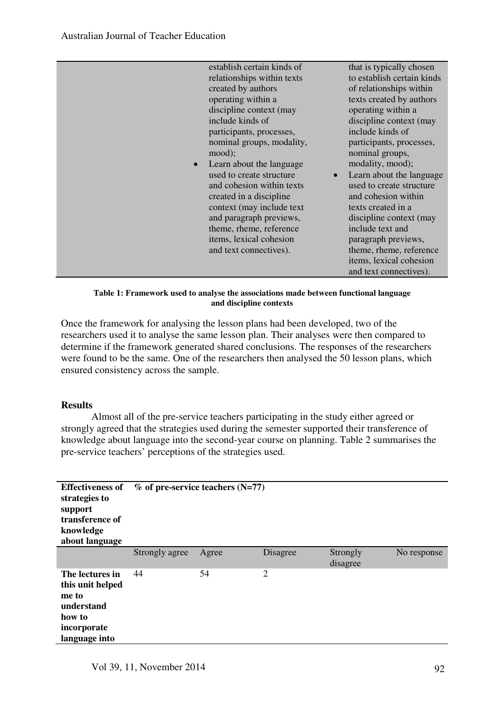| $\bullet$ | establish certain kinds of<br>relationships within texts<br>created by authors<br>operating within a<br>discipline context (may<br>include kinds of<br>participants, processes,<br>nominal groups, modality,<br>mood);<br>Learn about the language<br>used to create structure<br>and cohesion within texts<br>created in a discipline<br>context (may include text)<br>and paragraph previews,<br>theme, rheme, reference<br>items, lexical cohesion<br>and text connectives). | that is typically chosen<br>to establish certain kinds<br>of relationships within<br>texts created by authors<br>operating within a<br>discipline context (may<br>include kinds of<br>participants, processes,<br>nominal groups,<br>modality, mood);<br>Learn about the language<br>used to create structure<br>and cohesion within<br>texts created in a<br>discipline context (may<br>include text and<br>paragraph previews,<br>theme, rheme, reference<br>items, lexical cohesion |
|-----------|---------------------------------------------------------------------------------------------------------------------------------------------------------------------------------------------------------------------------------------------------------------------------------------------------------------------------------------------------------------------------------------------------------------------------------------------------------------------------------|----------------------------------------------------------------------------------------------------------------------------------------------------------------------------------------------------------------------------------------------------------------------------------------------------------------------------------------------------------------------------------------------------------------------------------------------------------------------------------------|
|           |                                                                                                                                                                                                                                                                                                                                                                                                                                                                                 | and text connectives).                                                                                                                                                                                                                                                                                                                                                                                                                                                                 |

#### **Table 1: Framework used to analyse the associations made between functional language and discipline contexts**

Once the framework for analysing the lesson plans had been developed, two of the researchers used it to analyse the same lesson plan. Their analyses were then compared to determine if the framework generated shared conclusions. The responses of the researchers were found to be the same. One of the researchers then analysed the 50 lesson plans, which ensured consistency across the sample.

#### **Results**

Almost all of the pre-service teachers participating in the study either agreed or strongly agreed that the strategies used during the semester supported their transference of knowledge about language into the second-year course on planning. Table 2 summarises the pre-service teachers' perceptions of the strategies used.

| <b>Effectiveness of</b><br>strategies to<br>support<br>transference of<br>knowledge<br>about language | $\%$ of pre-service teachers (N=77) |       |                |                      |             |
|-------------------------------------------------------------------------------------------------------|-------------------------------------|-------|----------------|----------------------|-------------|
|                                                                                                       | Strongly agree                      | Agree | Disagree       | Strongly<br>disagree | No response |
| The lectures in<br>this unit helped<br>me to<br>understand<br>how to<br>incorporate<br>language into  | 44                                  | 54    | $\overline{2}$ |                      |             |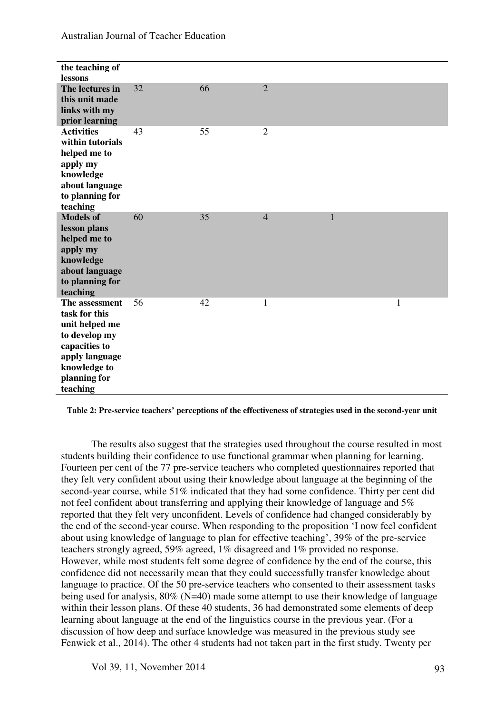| the teaching of<br>lessons                                                                                                                        |    |    |                |              |              |
|---------------------------------------------------------------------------------------------------------------------------------------------------|----|----|----------------|--------------|--------------|
| The lectures in<br>this unit made<br>links with my<br>prior learning                                                                              | 32 | 66 | $\overline{2}$ |              |              |
| <b>Activities</b><br>within tutorials<br>helped me to<br>apply my<br>knowledge<br>about language<br>to planning for<br>teaching                   | 43 | 55 | $\overline{2}$ |              |              |
| <b>Models of</b><br>lesson plans<br>helped me to<br>apply my<br>knowledge<br>about language<br>to planning for<br>teaching                        | 60 | 35 | $\overline{4}$ | $\mathbf{1}$ |              |
| The assessment<br>task for this<br>unit helped me<br>to develop my<br>capacities to<br>apply language<br>knowledge to<br>planning for<br>teaching | 56 | 42 | $\mathbf{1}$   |              | $\mathbf{1}$ |

Australian Journal of Teacher Education

**Table 2: Pre-service teachers' perceptions of the effectiveness of strategies used in the second-year unit** 

The results also suggest that the strategies used throughout the course resulted in most students building their confidence to use functional grammar when planning for learning. Fourteen per cent of the 77 pre-service teachers who completed questionnaires reported that they felt very confident about using their knowledge about language at the beginning of the second-year course, while 51% indicated that they had some confidence. Thirty per cent did not feel confident about transferring and applying their knowledge of language and 5% reported that they felt very unconfident. Levels of confidence had changed considerably by the end of the second-year course. When responding to the proposition 'I now feel confident about using knowledge of language to plan for effective teaching', 39% of the pre-service teachers strongly agreed, 59% agreed, 1% disagreed and 1% provided no response. However, while most students felt some degree of confidence by the end of the course, this confidence did not necessarily mean that they could successfully transfer knowledge about language to practice. Of the 50 pre-service teachers who consented to their assessment tasks being used for analysis, 80% (N=40) made some attempt to use their knowledge of language within their lesson plans. Of these 40 students, 36 had demonstrated some elements of deep learning about language at the end of the linguistics course in the previous year. (For a discussion of how deep and surface knowledge was measured in the previous study see Fenwick et al., 2014). The other 4 students had not taken part in the first study. Twenty per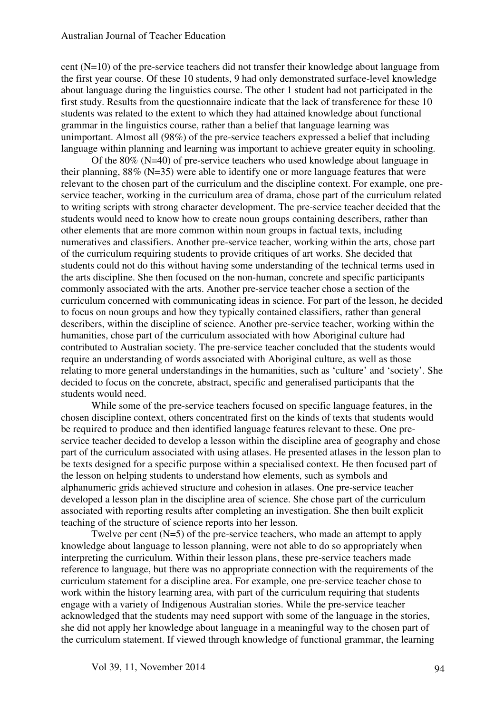cent (N=10) of the pre-service teachers did not transfer their knowledge about language from the first year course. Of these 10 students, 9 had only demonstrated surface-level knowledge about language during the linguistics course. The other 1 student had not participated in the first study. Results from the questionnaire indicate that the lack of transference for these 10 students was related to the extent to which they had attained knowledge about functional grammar in the linguistics course, rather than a belief that language learning was unimportant. Almost all (98%) of the pre-service teachers expressed a belief that including language within planning and learning was important to achieve greater equity in schooling.

Of the 80% (N=40) of pre-service teachers who used knowledge about language in their planning,  $88\%$  (N=35) were able to identify one or more language features that were relevant to the chosen part of the curriculum and the discipline context. For example, one preservice teacher, working in the curriculum area of drama, chose part of the curriculum related to writing scripts with strong character development. The pre-service teacher decided that the students would need to know how to create noun groups containing describers, rather than other elements that are more common within noun groups in factual texts, including numeratives and classifiers. Another pre-service teacher, working within the arts, chose part of the curriculum requiring students to provide critiques of art works. She decided that students could not do this without having some understanding of the technical terms used in the arts discipline. She then focused on the non-human, concrete and specific participants commonly associated with the arts. Another pre-service teacher chose a section of the curriculum concerned with communicating ideas in science. For part of the lesson, he decided to focus on noun groups and how they typically contained classifiers, rather than general describers, within the discipline of science. Another pre-service teacher, working within the humanities, chose part of the curriculum associated with how Aboriginal culture had contributed to Australian society. The pre-service teacher concluded that the students would require an understanding of words associated with Aboriginal culture, as well as those relating to more general understandings in the humanities, such as 'culture' and 'society'. She decided to focus on the concrete, abstract, specific and generalised participants that the students would need.

While some of the pre-service teachers focused on specific language features, in the chosen discipline context, others concentrated first on the kinds of texts that students would be required to produce and then identified language features relevant to these. One preservice teacher decided to develop a lesson within the discipline area of geography and chose part of the curriculum associated with using atlases. He presented atlases in the lesson plan to be texts designed for a specific purpose within a specialised context. He then focused part of the lesson on helping students to understand how elements, such as symbols and alphanumeric grids achieved structure and cohesion in atlases. One pre-service teacher developed a lesson plan in the discipline area of science. She chose part of the curriculum associated with reporting results after completing an investigation. She then built explicit teaching of the structure of science reports into her lesson.

Twelve per cent (N=5) of the pre-service teachers, who made an attempt to apply knowledge about language to lesson planning, were not able to do so appropriately when interpreting the curriculum. Within their lesson plans, these pre-service teachers made reference to language, but there was no appropriate connection with the requirements of the curriculum statement for a discipline area. For example, one pre-service teacher chose to work within the history learning area, with part of the curriculum requiring that students engage with a variety of Indigenous Australian stories. While the pre-service teacher acknowledged that the students may need support with some of the language in the stories, she did not apply her knowledge about language in a meaningful way to the chosen part of the curriculum statement. If viewed through knowledge of functional grammar, the learning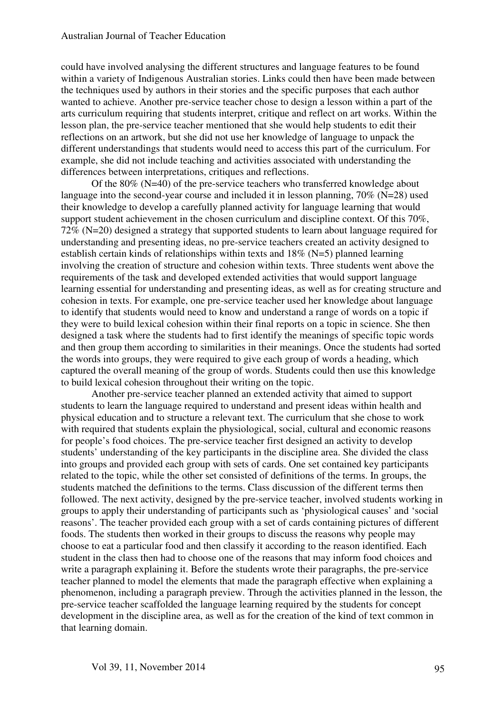could have involved analysing the different structures and language features to be found within a variety of Indigenous Australian stories. Links could then have been made between the techniques used by authors in their stories and the specific purposes that each author wanted to achieve. Another pre-service teacher chose to design a lesson within a part of the arts curriculum requiring that students interpret, critique and reflect on art works. Within the lesson plan, the pre-service teacher mentioned that she would help students to edit their reflections on an artwork, but she did not use her knowledge of language to unpack the different understandings that students would need to access this part of the curriculum. For example, she did not include teaching and activities associated with understanding the differences between interpretations, critiques and reflections.

Of the 80% (N=40) of the pre-service teachers who transferred knowledge about language into the second-year course and included it in lesson planning, 70% (N=28) used their knowledge to develop a carefully planned activity for language learning that would support student achievement in the chosen curriculum and discipline context. Of this 70%, 72% (N=20) designed a strategy that supported students to learn about language required for understanding and presenting ideas, no pre-service teachers created an activity designed to establish certain kinds of relationships within texts and 18% (N=5) planned learning involving the creation of structure and cohesion within texts. Three students went above the requirements of the task and developed extended activities that would support language learning essential for understanding and presenting ideas, as well as for creating structure and cohesion in texts. For example, one pre-service teacher used her knowledge about language to identify that students would need to know and understand a range of words on a topic if they were to build lexical cohesion within their final reports on a topic in science. She then designed a task where the students had to first identify the meanings of specific topic words and then group them according to similarities in their meanings. Once the students had sorted the words into groups, they were required to give each group of words a heading, which captured the overall meaning of the group of words. Students could then use this knowledge to build lexical cohesion throughout their writing on the topic.

Another pre-service teacher planned an extended activity that aimed to support students to learn the language required to understand and present ideas within health and physical education and to structure a relevant text. The curriculum that she chose to work with required that students explain the physiological, social, cultural and economic reasons for people's food choices. The pre-service teacher first designed an activity to develop students' understanding of the key participants in the discipline area. She divided the class into groups and provided each group with sets of cards. One set contained key participants related to the topic, while the other set consisted of definitions of the terms. In groups, the students matched the definitions to the terms. Class discussion of the different terms then followed. The next activity, designed by the pre-service teacher, involved students working in groups to apply their understanding of participants such as 'physiological causes' and 'social reasons'. The teacher provided each group with a set of cards containing pictures of different foods. The students then worked in their groups to discuss the reasons why people may choose to eat a particular food and then classify it according to the reason identified. Each student in the class then had to choose one of the reasons that may inform food choices and write a paragraph explaining it. Before the students wrote their paragraphs, the pre-service teacher planned to model the elements that made the paragraph effective when explaining a phenomenon, including a paragraph preview. Through the activities planned in the lesson, the pre-service teacher scaffolded the language learning required by the students for concept development in the discipline area, as well as for the creation of the kind of text common in that learning domain.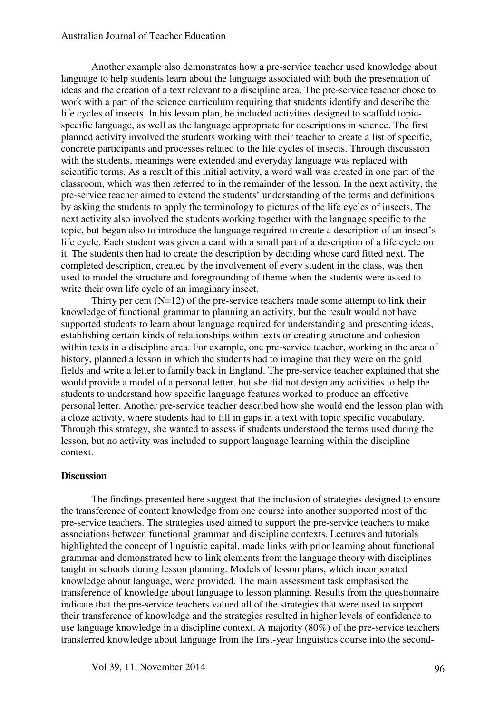#### Australian Journal of Teacher Education

Another example also demonstrates how a pre-service teacher used knowledge about language to help students learn about the language associated with both the presentation of ideas and the creation of a text relevant to a discipline area. The pre-service teacher chose to work with a part of the science curriculum requiring that students identify and describe the life cycles of insects. In his lesson plan, he included activities designed to scaffold topicspecific language, as well as the language appropriate for descriptions in science. The first planned activity involved the students working with their teacher to create a list of specific, concrete participants and processes related to the life cycles of insects. Through discussion with the students, meanings were extended and everyday language was replaced with scientific terms. As a result of this initial activity, a word wall was created in one part of the classroom, which was then referred to in the remainder of the lesson. In the next activity, the pre-service teacher aimed to extend the students' understanding of the terms and definitions by asking the students to apply the terminology to pictures of the life cycles of insects. The next activity also involved the students working together with the language specific to the topic, but began also to introduce the language required to create a description of an insect's life cycle. Each student was given a card with a small part of a description of a life cycle on it. The students then had to create the description by deciding whose card fitted next. The completed description, created by the involvement of every student in the class, was then used to model the structure and foregrounding of theme when the students were asked to write their own life cycle of an imaginary insect.

Thirty per cent  $(N=12)$  of the pre-service teachers made some attempt to link their knowledge of functional grammar to planning an activity, but the result would not have supported students to learn about language required for understanding and presenting ideas, establishing certain kinds of relationships within texts or creating structure and cohesion within texts in a discipline area. For example, one pre-service teacher, working in the area of history, planned a lesson in which the students had to imagine that they were on the gold fields and write a letter to family back in England. The pre-service teacher explained that she would provide a model of a personal letter, but she did not design any activities to help the students to understand how specific language features worked to produce an effective personal letter. Another pre-service teacher described how she would end the lesson plan with a cloze activity, where students had to fill in gaps in a text with topic specific vocabulary. Through this strategy, she wanted to assess if students understood the terms used during the lesson, but no activity was included to support language learning within the discipline context.

#### **Discussion**

The findings presented here suggest that the inclusion of strategies designed to ensure the transference of content knowledge from one course into another supported most of the pre-service teachers. The strategies used aimed to support the pre-service teachers to make associations between functional grammar and discipline contexts. Lectures and tutorials highlighted the concept of linguistic capital, made links with prior learning about functional grammar and demonstrated how to link elements from the language theory with disciplines taught in schools during lesson planning. Models of lesson plans, which incorporated knowledge about language, were provided. The main assessment task emphasised the transference of knowledge about language to lesson planning. Results from the questionnaire indicate that the pre-service teachers valued all of the strategies that were used to support their transference of knowledge and the strategies resulted in higher levels of confidence to use language knowledge in a discipline context. A majority (80%) of the pre-service teachers transferred knowledge about language from the first-year linguistics course into the second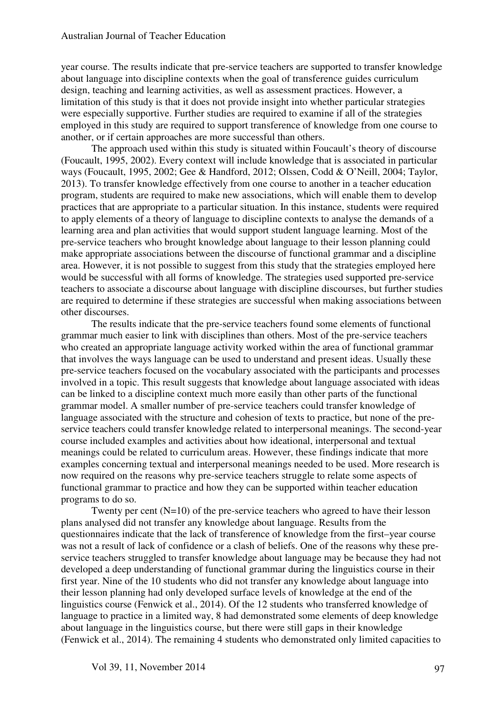year course. The results indicate that pre-service teachers are supported to transfer knowledge about language into discipline contexts when the goal of transference guides curriculum design, teaching and learning activities, as well as assessment practices. However, a limitation of this study is that it does not provide insight into whether particular strategies were especially supportive. Further studies are required to examine if all of the strategies employed in this study are required to support transference of knowledge from one course to another, or if certain approaches are more successful than others.

The approach used within this study is situated within Foucault's theory of discourse (Foucault, 1995, 2002). Every context will include knowledge that is associated in particular ways (Foucault, 1995, 2002; Gee & Handford, 2012; Olssen, Codd & O'Neill, 2004; Taylor, 2013). To transfer knowledge effectively from one course to another in a teacher education program, students are required to make new associations, which will enable them to develop practices that are appropriate to a particular situation. In this instance, students were required to apply elements of a theory of language to discipline contexts to analyse the demands of a learning area and plan activities that would support student language learning. Most of the pre-service teachers who brought knowledge about language to their lesson planning could make appropriate associations between the discourse of functional grammar and a discipline area. However, it is not possible to suggest from this study that the strategies employed here would be successful with all forms of knowledge. The strategies used supported pre-service teachers to associate a discourse about language with discipline discourses, but further studies are required to determine if these strategies are successful when making associations between other discourses.

The results indicate that the pre-service teachers found some elements of functional grammar much easier to link with disciplines than others. Most of the pre-service teachers who created an appropriate language activity worked within the area of functional grammar that involves the ways language can be used to understand and present ideas. Usually these pre-service teachers focused on the vocabulary associated with the participants and processes involved in a topic. This result suggests that knowledge about language associated with ideas can be linked to a discipline context much more easily than other parts of the functional grammar model. A smaller number of pre-service teachers could transfer knowledge of language associated with the structure and cohesion of texts to practice, but none of the preservice teachers could transfer knowledge related to interpersonal meanings. The second-year course included examples and activities about how ideational, interpersonal and textual meanings could be related to curriculum areas. However, these findings indicate that more examples concerning textual and interpersonal meanings needed to be used. More research is now required on the reasons why pre-service teachers struggle to relate some aspects of functional grammar to practice and how they can be supported within teacher education programs to do so.

Twenty per cent (N=10) of the pre-service teachers who agreed to have their lesson plans analysed did not transfer any knowledge about language. Results from the questionnaires indicate that the lack of transference of knowledge from the first–year course was not a result of lack of confidence or a clash of beliefs. One of the reasons why these preservice teachers struggled to transfer knowledge about language may be because they had not developed a deep understanding of functional grammar during the linguistics course in their first year. Nine of the 10 students who did not transfer any knowledge about language into their lesson planning had only developed surface levels of knowledge at the end of the linguistics course (Fenwick et al., 2014). Of the 12 students who transferred knowledge of language to practice in a limited way, 8 had demonstrated some elements of deep knowledge about language in the linguistics course, but there were still gaps in their knowledge (Fenwick et al., 2014). The remaining 4 students who demonstrated only limited capacities to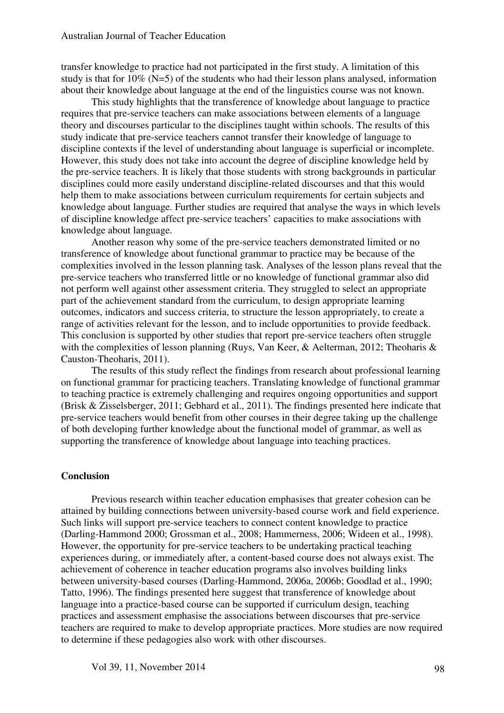transfer knowledge to practice had not participated in the first study. A limitation of this study is that for 10% (N=5) of the students who had their lesson plans analysed, information about their knowledge about language at the end of the linguistics course was not known.

This study highlights that the transference of knowledge about language to practice requires that pre-service teachers can make associations between elements of a language theory and discourses particular to the disciplines taught within schools. The results of this study indicate that pre-service teachers cannot transfer their knowledge of language to discipline contexts if the level of understanding about language is superficial or incomplete. However, this study does not take into account the degree of discipline knowledge held by the pre-service teachers. It is likely that those students with strong backgrounds in particular disciplines could more easily understand discipline-related discourses and that this would help them to make associations between curriculum requirements for certain subjects and knowledge about language. Further studies are required that analyse the ways in which levels of discipline knowledge affect pre-service teachers' capacities to make associations with knowledge about language.

Another reason why some of the pre-service teachers demonstrated limited or no transference of knowledge about functional grammar to practice may be because of the complexities involved in the lesson planning task. Analyses of the lesson plans reveal that the pre-service teachers who transferred little or no knowledge of functional grammar also did not perform well against other assessment criteria. They struggled to select an appropriate part of the achievement standard from the curriculum, to design appropriate learning outcomes, indicators and success criteria, to structure the lesson appropriately, to create a range of activities relevant for the lesson, and to include opportunities to provide feedback. This conclusion is supported by other studies that report pre-service teachers often struggle with the complexities of lesson planning (Ruys, Van Keer, & Aelterman, 2012; Theoharis & Causton-Theoharis, 2011).

The results of this study reflect the findings from research about professional learning on functional grammar for practicing teachers. Translating knowledge of functional grammar to teaching practice is extremely challenging and requires ongoing opportunities and support (Brisk & Zisselsberger, 2011; Gebhard et al., 2011). The findings presented here indicate that pre-service teachers would benefit from other courses in their degree taking up the challenge of both developing further knowledge about the functional model of grammar, as well as supporting the transference of knowledge about language into teaching practices.

#### **Conclusion**

Previous research within teacher education emphasises that greater cohesion can be attained by building connections between university-based course work and field experience. Such links will support pre-service teachers to connect content knowledge to practice (Darling-Hammond 2000; Grossman et al., 2008; Hammerness, 2006; Wideen et al., 1998). However, the opportunity for pre-service teachers to be undertaking practical teaching experiences during, or immediately after, a content-based course does not always exist. The achievement of coherence in teacher education programs also involves building links between university-based courses (Darling-Hammond, 2006a, 2006b; Goodlad et al., 1990; Tatto, 1996). The findings presented here suggest that transference of knowledge about language into a practice-based course can be supported if curriculum design, teaching practices and assessment emphasise the associations between discourses that pre-service teachers are required to make to develop appropriate practices. More studies are now required to determine if these pedagogies also work with other discourses.

Vol 39, 11, November 2014 98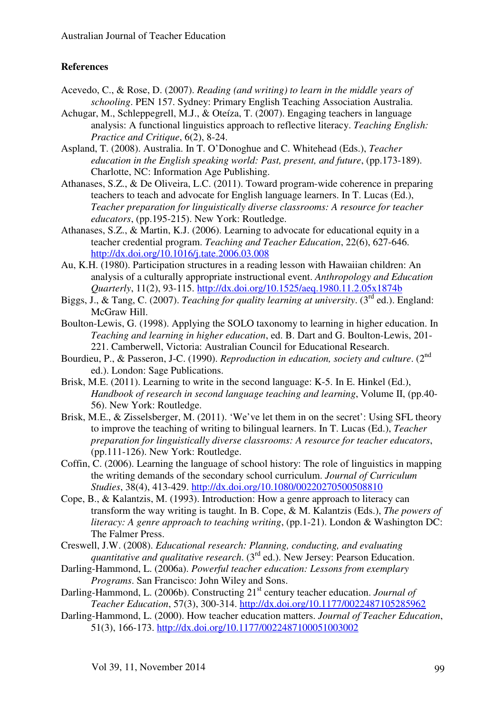## **References**

- Acevedo, C., & Rose, D. (2007). *Reading (and writing) to learn in the middle years of schooling*. PEN 157. Sydney: Primary English Teaching Association Australia.
- Achugar, M., Schleppegrell, M.J., & Oteíza, T. (2007). Engaging teachers in language analysis: A functional linguistics approach to reflective literacy. *Teaching English: Practice and Critique*, 6(2), 8-24.
- Aspland, T. (2008). Australia. In T. O'Donoghue and C. Whitehead (Eds.), *Teacher education in the English speaking world: Past, present, and future*, (pp.173-189). Charlotte, NC: Information Age Publishing.
- Athanases, S.Z., & De Oliveira, L.C. (2011). Toward program-wide coherence in preparing teachers to teach and advocate for English language learners. In T. Lucas (Ed.), *Teacher preparation for linguistically diverse classrooms: A resource for teacher educators*, (pp.195-215). New York: Routledge.
- Athanases, S.Z., & Martin, K.J. (2006). Learning to advocate for educational equity in a teacher credential program. *Teaching and Teacher Education*, 22(6), 627-646. http://dx.doi.org/10.1016/j.tate.2006.03.008
- Au, K.H. (1980). Participation structures in a reading lesson with Hawaiian children: An analysis of a culturally appropriate instructional event. *Anthropology and Education Quarterly*, 11(2), 93-115. http://dx.doi.org/10.1525/aeq.1980.11.2.05x1874b
- Biggs, J., & Tang, C. (2007). *Teaching for quality learning at university*. (3rd ed.). England: McGraw Hill.
- Boulton-Lewis, G. (1998). Applying the SOLO taxonomy to learning in higher education. In *Teaching and learning in higher education*, ed. B. Dart and G. Boulton-Lewis, 201- 221. Camberwell, Victoria: Australian Council for Educational Research.
- Bourdieu, P., & Passeron, J-C. (1990). *Reproduction in education, society and culture.* (2<sup>nd</sup> ed.). London: Sage Publications.
- Brisk, M.E. (2011). Learning to write in the second language: K-5. In E. Hinkel (Ed.), *Handbook of research in second language teaching and learning*, Volume II, (pp.40- 56). New York: Routledge.
- Brisk, M.E., & Zisselsberger, M. (2011). 'We've let them in on the secret': Using SFL theory to improve the teaching of writing to bilingual learners. In T. Lucas (Ed.), *Teacher preparation for linguistically diverse classrooms: A resource for teacher educators*, (pp.111-126). New York: Routledge.
- Coffin, C. (2006). Learning the language of school history: The role of linguistics in mapping the writing demands of the secondary school curriculum. *Journal of Curriculum Studies*, 38(4), 413-429. http://dx.doi.org/10.1080/00220270500508810
- Cope, B., & Kalantzis, M. (1993). Introduction: How a genre approach to literacy can transform the way writing is taught. In B. Cope, & M. Kalantzis (Eds.), *The powers of literacy: A genre approach to teaching writing*, (pp.1-21). London & Washington DC: The Falmer Press.

Creswell, J.W. (2008). *Educational research: Planning, conducting, and evaluating quantitative and qualitative research*. (3rd ed.). New Jersey: Pearson Education.

- Darling-Hammond, L. (2006a). *Powerful teacher education: Lessons from exemplary Programs*. San Francisco: John Wiley and Sons.
- Darling-Hammond, L. (2006b). Constructing 21<sup>st</sup> century teacher education. *Journal of Teacher Education*, 57(3), 300-314. http://dx.doi.org/10.1177/0022487105285962
- Darling-Hammond, L. (2000). How teacher education matters. *Journal of Teacher Education*, 51(3), 166-173. http://dx.doi.org/10.1177/0022487100051003002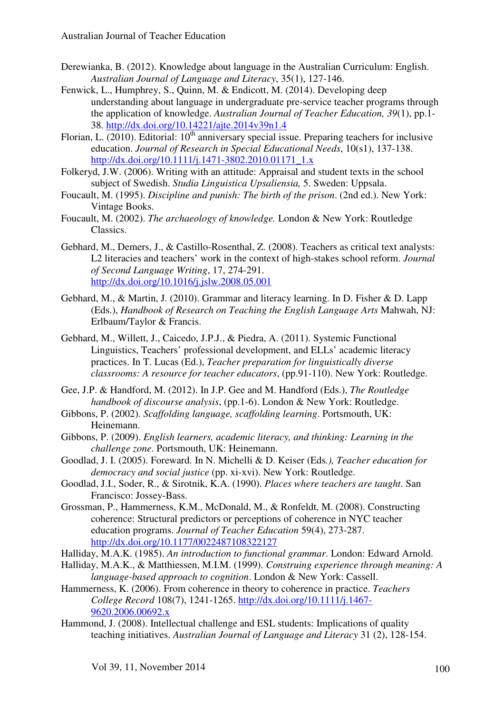- Derewianka, B. (2012). Knowledge about language in the Australian Curriculum: English. *Australian Journal of Language and Literacy*, 35(1), 127-146.
- Fenwick, L., Humphrey, S., Quinn, M. & Endicott, M. (2014). Developing deep understanding about language in undergraduate pre-service teacher programs through the application of knowledge. *Australian Journal of Teacher Education, 39*(1), pp.1- 38. http://dx.doi.org/10.14221/ajte.2014v39n1.4
- Florian, L.  $(2010)$ . Editorial:  $10<sup>th</sup>$  anniversary special issue. Preparing teachers for inclusive education. *Journal of Research in Special Educational Needs*, 10(s1), 137-138. http://dx.doi.org/10.1111/j.1471-3802.2010.01171\_1.x
- Folkeryd, J.W. (2006). Writing with an attitude: Appraisal and student texts in the school subject of Swedish. *Studia Linguistica Upsaliensia,* 5. Sweden: Uppsala.
- Foucault, M. (1995). *Discipline and punish: The birth of the prison*. (2nd ed.). New York: Vintage Books.
- Foucault, M. (2002). *The archaeology of knowledge.* London & New York: Routledge Classics.
- Gebhard, M., Demers, J., & Castillo-Rosenthal, Z. (2008). Teachers as critical text analysts: L2 literacies and teachers' work in the context of high-stakes school reform. *Journal of Second Language Writing*, 17, 274-291. http://dx.doi.org/10.1016/j.jslw.2008.05.001
- Gebhard, M., & Martin, J. (2010). Grammar and literacy learning. In D. Fisher & D. Lapp (Eds.), *Handbook of Research on Teaching the English Language Arts* Mahwah, NJ: Erlbaum/Taylor & Francis.
- Gebhard, M., Willett, J., Caicedo, J.P.J., & Piedra, A. (2011). Systemic Functional Linguistics, Teachers' professional development, and ELLs' academic literacy practices. In T. Lucas (Ed.), *Teacher preparation for linguistically diverse classrooms: A resource for teacher educators*, (pp.91-110). New York: Routledge.
- Gee, J.P. & Handford, M. (2012). In J.P. Gee and M. Handford (Eds.), *The Routledge handbook of discourse analysis*, (pp.1-6). London & New York: Routledge.
- Gibbons, P. (2002). *Scaffolding language, scaffolding learning*. Portsmouth, UK: Heinemann.
- Gibbons, P. (2009). *English learners, academic literacy, and thinking: Learning in the challenge zone*. Portsmouth, UK: Heinemann.
- Goodlad, J. I. (2005). Foreward. In N. Michelli & D. Keiser (Eds*.), Teacher education for democracy and social justice* (pp. xi-xvi). New York: Routledge.
- Goodlad, J.I., Soder, R., & Sirotnik, K.A. (1990). *Places where teachers are taught*. San Francisco: Jossey-Bass.
- Grossman, P., Hammerness, K.M., McDonald, M., & Ronfeldt, M. (2008). Constructing coherence: Structural predictors or perceptions of coherence in NYC teacher education programs. *Journal of Teacher Education* 59(4), 273-287. http://dx.doi.org/10.1177/0022487108322127
- Halliday, M.A.K. (1985). *An introduction to functional grammar*. London: Edward Arnold.
- Halliday, M.A.K., & Matthiessen, M.I.M. (1999). *Construing experience through meaning: A language-based approach to cognition*. London & New York: Cassell.
- Hammerness, K. (2006). From coherence in theory to coherence in practice. *Teachers College Record* 108(7), 1241-1265. http://dx.doi.org/10.1111/j.1467- 9620.2006.00692.x
- Hammond, J. (2008). Intellectual challenge and ESL students: Implications of quality teaching initiatives. *Australian Journal of Language and Literacy* 31 (2), 128-154.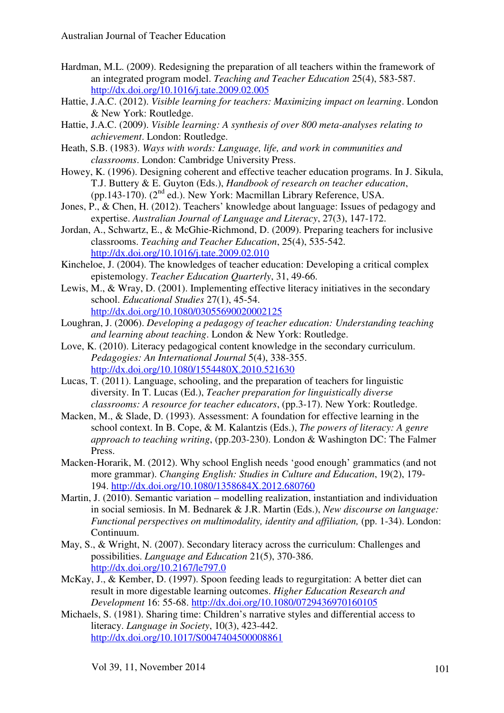- Hardman, M.L. (2009). Redesigning the preparation of all teachers within the framework of an integrated program model. *Teaching and Teacher Education* 25(4), 583-587. http://dx.doi.org/10.1016/j.tate.2009.02.005
- Hattie, J.A.C. (2012). *Visible learning for teachers: Maximizing impact on learning*. London & New York: Routledge.
- Hattie, J.A.C. (2009). *Visible learning: A synthesis of over 800 meta-analyses relating to achievement*. London: Routledge.
- Heath, S.B. (1983). *Ways with words: Language, life, and work in communities and classrooms*. London: Cambridge University Press.
- Howey, K. (1996). Designing coherent and effective teacher education programs. In J. Sikula, T.J. Buttery & E. Guyton (Eds.), *Handbook of research on teacher education*, (pp.143-170).  $(2^{nd}$  ed.). New York: Macmillan Library Reference, USA.
- Jones, P., & Chen, H. (2012). Teachers' knowledge about language: Issues of pedagogy and expertise. *Australian Journal of Language and Literacy*, 27(3), 147-172.
- Jordan, A., Schwartz, E., & McGhie-Richmond, D. (2009). Preparing teachers for inclusive classrooms. *Teaching and Teacher Education*, 25(4), 535-542. http://dx.doi.org/10.1016/j.tate.2009.02.010
- Kincheloe, J. (2004). The knowledges of teacher education: Developing a critical complex epistemology. *Teacher Education Quarterly*, 31, 49-66.
- Lewis, M., & Wray, D. (2001). Implementing effective literacy initiatives in the secondary school. *Educational Studies* 27(1), 45-54. http://dx.doi.org/10.1080/03055690020002125
- Loughran, J. (2006). *Developing a pedagogy of teacher education: Understanding teaching and learning about teaching*. London & New York: Routledge.
- Love, K. (2010). Literacy pedagogical content knowledge in the secondary curriculum. *Pedagogies: An International Journal* 5(4), 338-355. http://dx.doi.org/10.1080/1554480X.2010.521630
- Lucas, T. (2011). Language, schooling, and the preparation of teachers for linguistic diversity. In T. Lucas (Ed.), *Teacher preparation for linguistically diverse classrooms: A resource for teacher educators*, (pp.3-17). New York: Routledge.
- Macken, M., & Slade, D. (1993). Assessment: A foundation for effective learning in the school context. In B. Cope, & M. Kalantzis (Eds.), *The powers of literacy: A genre approach to teaching writing*, (pp.203-230). London & Washington DC: The Falmer Press.
- Macken-Horarik, M. (2012). Why school English needs 'good enough' grammatics (and not more grammar). *Changing English: Studies in Culture and Education*, 19(2), 179- 194. http://dx.doi.org/10.1080/1358684X.2012.680760
- Martin, J. (2010). Semantic variation modelling realization, instantiation and individuation in social semiosis. In M. Bednarek & J.R. Martin (Eds.), *New discourse on language: Functional perspectives on multimodality, identity and affiliation,* (pp. 1-34). London: Continuum.
- May, S., & Wright, N. (2007). Secondary literacy across the curriculum: Challenges and possibilities. *Language and Education* 21(5), 370-386. http://dx.doi.org/10.2167/le797.0
- McKay, J., & Kember, D. (1997). Spoon feeding leads to regurgitation: A better diet can result in more digestable learning outcomes. *Higher Education Research and Development* 16: 55-68. http://dx.doi.org/10.1080/0729436970160105
- Michaels, S. (1981). Sharing time: Children's narrative styles and differential access to literacy. *Language in Society*, 10(3), 423-442. http://dx.doi.org/10.1017/S0047404500008861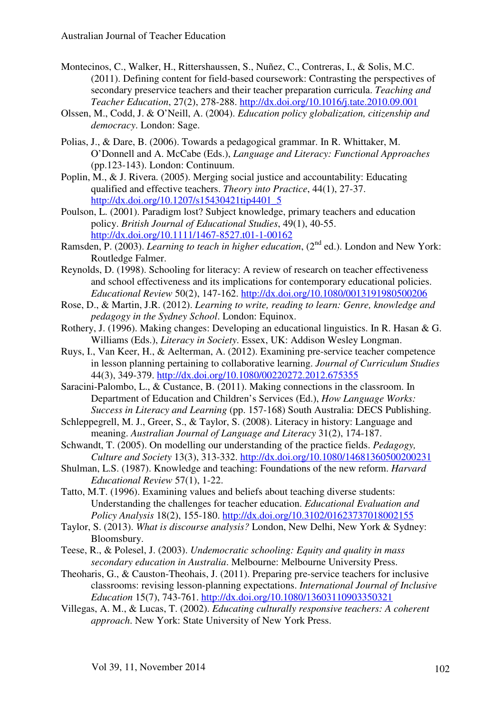- Montecinos, C., Walker, H., Rittershaussen, S., Nuñez, C., Contreras, I., & Solis, M.C. (2011). Defining content for field-based coursework: Contrasting the perspectives of secondary preservice teachers and their teacher preparation curricula. *Teaching and Teacher Education*, 27(2), 278-288. http://dx.doi.org/10.1016/j.tate.2010.09.001
- Olssen, M., Codd, J. & O'Neill, A. (2004). *Education policy globalization, citizenship and democracy*. London: Sage.
- Polias, J., & Dare, B. (2006). Towards a pedagogical grammar. In R. Whittaker, M. O'Donnell and A. McCabe (Eds.), *Language and Literacy: Functional Approaches* (pp.123-143). London: Continuum.
- Poplin, M., & J. Rivera. (2005). Merging social justice and accountability: Educating qualified and effective teachers. *Theory into Practice*, 44(1), 27-37. http://dx.doi.org/10.1207/s15430421tip4401\_5
- Poulson, L. (2001). Paradigm lost? Subject knowledge, primary teachers and education policy. *British Journal of Educational Studies*, 49(1), 40-55. http://dx.doi.org/10.1111/1467-8527.t01-1-00162
- Ramsden, P. (2003). *Learning to teach in higher education*, (2<sup>nd</sup> ed.). London and New York: Routledge Falmer.
- Reynolds, D. (1998). Schooling for literacy: A review of research on teacher effectiveness and school effectiveness and its implications for contemporary educational policies. *Educational Review* 50(2), 147-162. http://dx.doi.org/10.1080/0013191980500206
- Rose, D., & Martin, J.R. (2012). *Learning to write, reading to learn: Genre, knowledge and pedagogy in the Sydney School*. London: Equinox.
- Rothery, J. (1996). Making changes: Developing an educational linguistics. In R. Hasan & G. Williams (Eds.), *Literacy in Society*. Essex, UK: Addison Wesley Longman.
- Ruys, I., Van Keer, H., & Aelterman, A. (2012). Examining pre-service teacher competence in lesson planning pertaining to collaborative learning. *Journal of Curriculum Studies* 44(3), 349-379. http://dx.doi.org/10.1080/00220272.2012.675355
- Saracini-Palombo, L., & Custance, B. (2011). Making connections in the classroom. In Department of Education and Children's Services (Ed.), *How Language Works: Success in Literacy and Learning* (pp. 157-168) South Australia: DECS Publishing.
- Schleppegrell, M. J., Greer, S., & Taylor, S. (2008). Literacy in history: Language and meaning. *Australian Journal of Language and Literacy* 31(2), 174-187.
- Schwandt, T. (2005). On modelling our understanding of the practice fields. *Pedagogy, Culture and Society* 13(3), 313-332. http://dx.doi.org/10.1080/14681360500200231
- Shulman, L.S. (1987). Knowledge and teaching: Foundations of the new reform. *Harvard Educational Review* 57(1), 1-22.
- Tatto, M.T. (1996). Examining values and beliefs about teaching diverse students: Understanding the challenges for teacher education. *Educational Evaluation and Policy Analysis* 18(2), 155-180. http://dx.doi.org/10.3102/01623737018002155
- Taylor, S. (2013). *What is discourse analysis?* London, New Delhi, New York & Sydney: Bloomsbury.
- Teese, R., & Polesel, J. (2003). *Undemocratic schooling: Equity and quality in mass secondary education in Australia*. Melbourne: Melbourne University Press.
- Theoharis, G., & Causton-Theohais, J. (2011). Preparing pre-service teachers for inclusive classrooms: revising lesson-planning expectations. *International Journal of Inclusive Education* 15(7), 743-761. http://dx.doi.org/10.1080/13603110903350321
- Villegas, A. M., & Lucas, T. (2002). *Educating culturally responsive teachers: A coherent approach*. New York: State University of New York Press.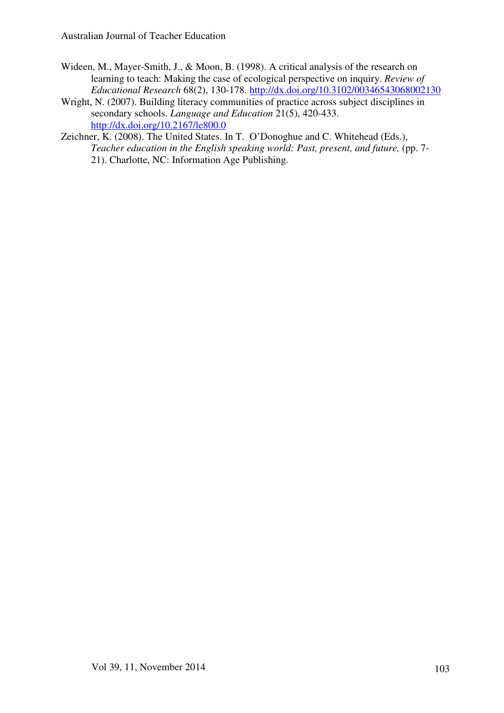- Wideen, M., Mayer-Smith, J., & Moon, B. (1998). A critical analysis of the research on learning to teach: Making the case of ecological perspective on inquiry. *Review of Educational Research* 68(2), 130-178. http://dx.doi.org/10.3102/00346543068002130
- Wright, N. (2007). Building literacy communities of practice across subject disciplines in secondary schools. *Language and Education* 21(5), 420-433. http://dx.doi.org/10.2167/le800.0
- Zeichner, K. (2008). The United States. In T. O'Donoghue and C. Whitehead (Eds.), *Teacher education in the English speaking world: Past, present, and future,* (pp. 7- 21). Charlotte, NC: Information Age Publishing.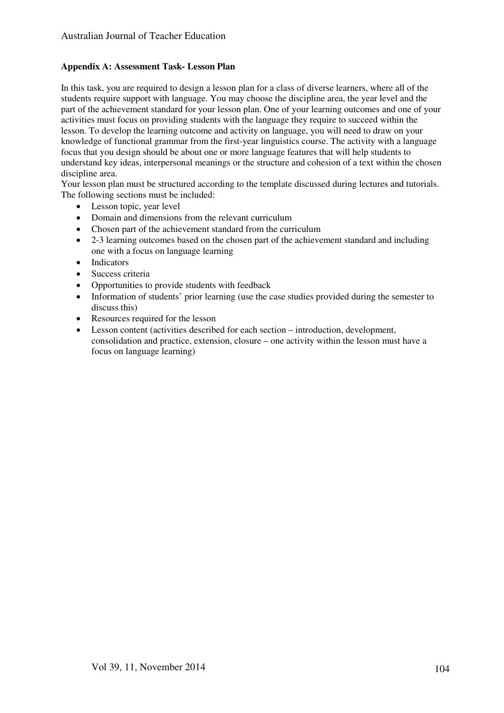#### **Appendix A: Assessment Task- Lesson Plan**

In this task, you are required to design a lesson plan for a class of diverse learners, where all of the students require support with language. You may choose the discipline area, the year level and the part of the achievement standard for your lesson plan. One of your learning outcomes and one of your activities must focus on providing students with the language they require to succeed within the lesson. To develop the learning outcome and activity on language, you will need to draw on your knowledge of functional grammar from the first-year linguistics course. The activity with a language focus that you design should be about one or more language features that will help students to understand key ideas, interpersonal meanings or the structure and cohesion of a text within the chosen discipline area.

Your lesson plan must be structured according to the template discussed during lectures and tutorials. The following sections must be included:

- Lesson topic, year level
- Domain and dimensions from the relevant curriculum
- Chosen part of the achievement standard from the curriculum
- 2-3 learning outcomes based on the chosen part of the achievement standard and including one with a focus on language learning
- Indicators
- Success criteria
- Opportunities to provide students with feedback
- Information of students' prior learning (use the case studies provided during the semester to discuss this)
- Resources required for the lesson
- Lesson content (activities described for each section introduction, development, consolidation and practice, extension, closure – one activity within the lesson must have a focus on language learning)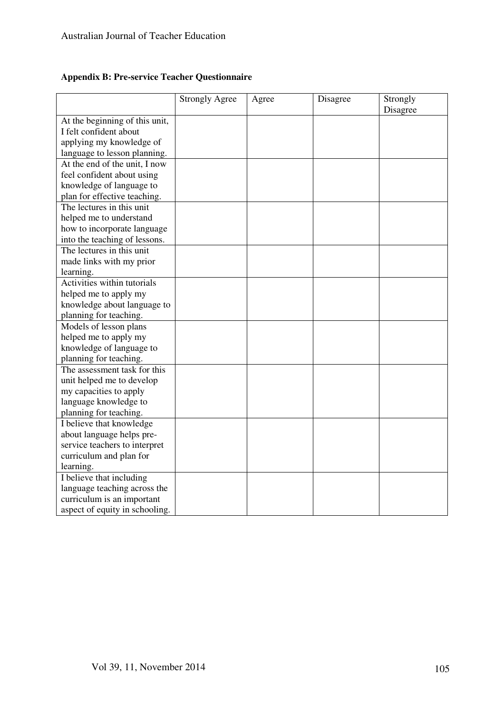## **Appendix B: Pre-service Teacher Questionnaire**

|                                | <b>Strongly Agree</b> | Agree | Disagree | Strongly<br>Disagree |
|--------------------------------|-----------------------|-------|----------|----------------------|
| At the beginning of this unit, |                       |       |          |                      |
| I felt confident about         |                       |       |          |                      |
| applying my knowledge of       |                       |       |          |                      |
| language to lesson planning.   |                       |       |          |                      |
| At the end of the unit, I now  |                       |       |          |                      |
| feel confident about using     |                       |       |          |                      |
| knowledge of language to       |                       |       |          |                      |
| plan for effective teaching.   |                       |       |          |                      |
| The lectures in this unit      |                       |       |          |                      |
| helped me to understand        |                       |       |          |                      |
| how to incorporate language    |                       |       |          |                      |
| into the teaching of lessons.  |                       |       |          |                      |
| The lectures in this unit      |                       |       |          |                      |
| made links with my prior       |                       |       |          |                      |
| learning.                      |                       |       |          |                      |
| Activities within tutorials    |                       |       |          |                      |
| helped me to apply my          |                       |       |          |                      |
| knowledge about language to    |                       |       |          |                      |
| planning for teaching.         |                       |       |          |                      |
| Models of lesson plans         |                       |       |          |                      |
| helped me to apply my          |                       |       |          |                      |
| knowledge of language to       |                       |       |          |                      |
| planning for teaching.         |                       |       |          |                      |
| The assessment task for this   |                       |       |          |                      |
| unit helped me to develop      |                       |       |          |                      |
| my capacities to apply         |                       |       |          |                      |
| language knowledge to          |                       |       |          |                      |
| planning for teaching.         |                       |       |          |                      |
| I believe that knowledge       |                       |       |          |                      |
| about language helps pre-      |                       |       |          |                      |
| service teachers to interpret  |                       |       |          |                      |
| curriculum and plan for        |                       |       |          |                      |
| learning.                      |                       |       |          |                      |
| I believe that including       |                       |       |          |                      |
| language teaching across the   |                       |       |          |                      |
| curriculum is an important     |                       |       |          |                      |
| aspect of equity in schooling. |                       |       |          |                      |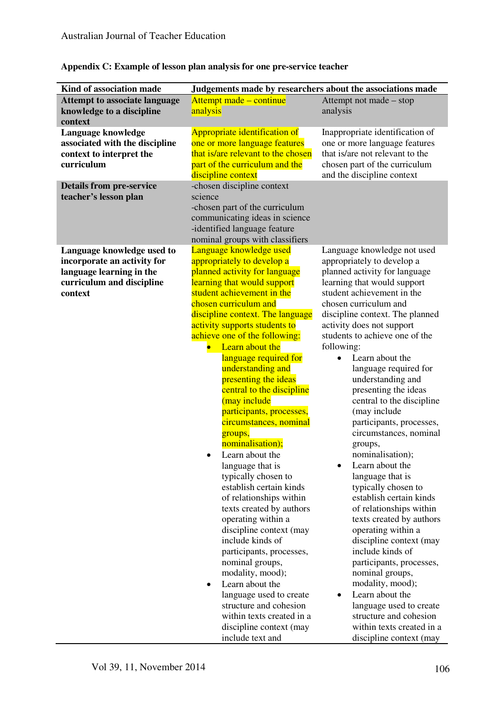| Kind of association made                                                                                                      | Judgements made by researchers about the associations made                                                                                                                                                                                                                                                                                                                                                                                                                                                                                                                                                                                                                                                                                                                                                                                                                                                                                                             |                                                                                                                                                                                                                                                                                                                                                                                                                                                                                                                                                                                                                                                                                                                                                                                                                                                                                                                                                     |  |  |
|-------------------------------------------------------------------------------------------------------------------------------|------------------------------------------------------------------------------------------------------------------------------------------------------------------------------------------------------------------------------------------------------------------------------------------------------------------------------------------------------------------------------------------------------------------------------------------------------------------------------------------------------------------------------------------------------------------------------------------------------------------------------------------------------------------------------------------------------------------------------------------------------------------------------------------------------------------------------------------------------------------------------------------------------------------------------------------------------------------------|-----------------------------------------------------------------------------------------------------------------------------------------------------------------------------------------------------------------------------------------------------------------------------------------------------------------------------------------------------------------------------------------------------------------------------------------------------------------------------------------------------------------------------------------------------------------------------------------------------------------------------------------------------------------------------------------------------------------------------------------------------------------------------------------------------------------------------------------------------------------------------------------------------------------------------------------------------|--|--|
| <b>Attempt to associate language</b><br>knowledge to a discipline<br>context                                                  | Attempt made – continue<br>analysis                                                                                                                                                                                                                                                                                                                                                                                                                                                                                                                                                                                                                                                                                                                                                                                                                                                                                                                                    | Attempt not made – stop<br>analysis                                                                                                                                                                                                                                                                                                                                                                                                                                                                                                                                                                                                                                                                                                                                                                                                                                                                                                                 |  |  |
| Language knowledge<br>associated with the discipline<br>context to interpret the<br>curriculum                                | Appropriate identification of<br>one or more language features<br>that is/are relevant to the chosen<br>part of the curriculum and the<br>discipline context                                                                                                                                                                                                                                                                                                                                                                                                                                                                                                                                                                                                                                                                                                                                                                                                           | Inappropriate identification of<br>one or more language features<br>that is/are not relevant to the<br>chosen part of the curriculum<br>and the discipline context                                                                                                                                                                                                                                                                                                                                                                                                                                                                                                                                                                                                                                                                                                                                                                                  |  |  |
| <b>Details from pre-service</b><br>teacher's lesson plan                                                                      | -chosen discipline context<br>science<br>-chosen part of the curriculum<br>communicating ideas in science<br>-identified language feature<br>nominal groups with classifiers                                                                                                                                                                                                                                                                                                                                                                                                                                                                                                                                                                                                                                                                                                                                                                                           |                                                                                                                                                                                                                                                                                                                                                                                                                                                                                                                                                                                                                                                                                                                                                                                                                                                                                                                                                     |  |  |
| Language knowledge used to<br>incorporate an activity for<br>language learning in the<br>curriculum and discipline<br>context | Language knowledge used<br>appropriately to develop a<br>planned activity for language<br>learning that would support<br>student achievement in the<br>chosen curriculum and<br>discipline context. The language<br>activity supports students to<br>achieve one of the following:<br>Learn about the<br>language required for<br>understanding and<br>presenting the ideas<br>central to the discipline<br>(may include<br>participants, processes,<br>circumstances, nominal<br>groups,<br>nominalisation);<br>Learn about the<br>$\bullet$<br>language that is<br>typically chosen to<br>establish certain kinds<br>of relationships within<br>texts created by authors<br>operating within a<br>discipline context (may<br>include kinds of<br>participants, processes,<br>nominal groups,<br>modality, mood);<br>Learn about the<br>language used to create<br>structure and cohesion<br>within texts created in a<br>discipline context (may<br>include text and | Language knowledge not used<br>appropriately to develop a<br>planned activity for language<br>learning that would support<br>student achievement in the<br>chosen curriculum and<br>discipline context. The planned<br>activity does not support<br>students to achieve one of the<br>following:<br>Learn about the<br>language required for<br>understanding and<br>presenting the ideas<br>central to the discipline<br>(may include<br>participants, processes,<br>circumstances, nominal<br>groups,<br>nominalisation);<br>Learn about the<br>language that is<br>typically chosen to<br>establish certain kinds<br>of relationships within<br>texts created by authors<br>operating within a<br>discipline context (may<br>include kinds of<br>participants, processes,<br>nominal groups,<br>modality, mood);<br>Learn about the<br>language used to create<br>structure and cohesion<br>within texts created in a<br>discipline context (may |  |  |

## **Appendix C: Example of lesson plan analysis for one pre-service teacher**